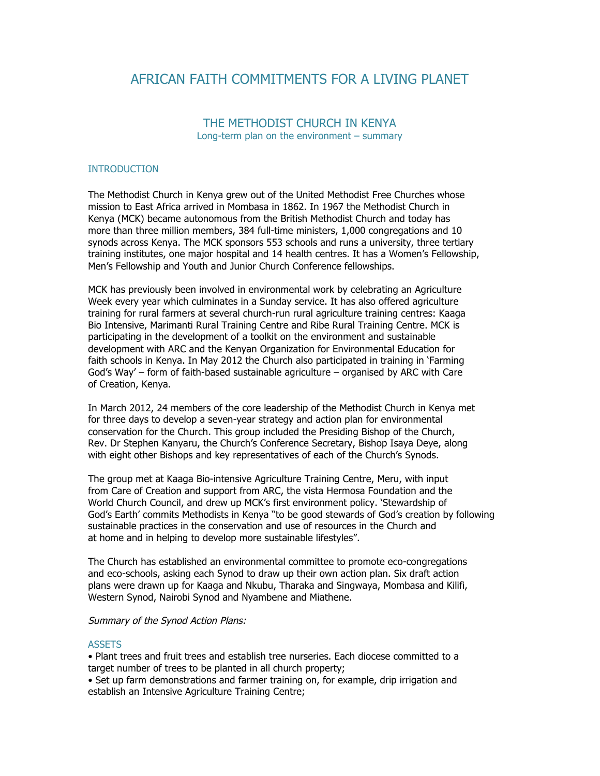# AFRICAN FAITH COMMITMENTS FOR A LIVING PLANET

# THE METHODIST CHURCH IN KENYA Long-term plan on the environment – summary

# INTRODUCTION

The Methodist Church in Kenya grew out of the United Methodist Free Churches whose mission to East Africa arrived in Mombasa in 1862. In 1967 the Methodist Church in Kenya (MCK) became autonomous from the British Methodist Church and today has more than three million members, 384 full-time ministers, 1,000 congregations and 10 synods across Kenya. The MCK sponsors 553 schools and runs a university, three tertiary training institutes, one major hospital and 14 health centres. It has a Women's Fellowship, Men's Fellowship and Youth and Junior Church Conference fellowships.

MCK has previously been involved in environmental work by celebrating an Agriculture Week every year which culminates in a Sunday service. It has also offered agriculture training for rural farmers at several church-run rural agriculture training centres: Kaaga Bio Intensive, Marimanti Rural Training Centre and Ribe Rural Training Centre. MCK is participating in the development of a toolkit on the environment and sustainable development with ARC and the Kenyan Organization for Environmental Education for faith schools in Kenya. In May 2012 the Church also participated in training in 'Farming God's Way' – form of faith-based sustainable agriculture – organised by ARC with Care of Creation, Kenya.

In March 2012, 24 members of the core leadership of the Methodist Church in Kenya met for three days to develop a seven-year strategy and action plan for environmental conservation for the Church. This group included the Presiding Bishop of the Church, Rev. Dr Stephen Kanyaru, the Church's Conference Secretary, Bishop Isaya Deye, along with eight other Bishops and key representatives of each of the Church's Synods.

The group met at Kaaga Bio-intensive Agriculture Training Centre, Meru, with input from Care of Creation and support from ARC, the vista Hermosa Foundation and the World Church Council, and drew up MCK's first environment policy. 'Stewardship of God's Earth' commits Methodists in Kenya "to be good stewards of God's creation by following sustainable practices in the conservation and use of resources in the Church and at home and in helping to develop more sustainable lifestyles".

The Church has established an environmental committee to promote eco-congregations and eco-schools, asking each Synod to draw up their own action plan. Six draft action plans were drawn up for Kaaga and Nkubu, Tharaka and Singwaya, Mombasa and Kilifi, Western Synod, Nairobi Synod and Nyambene and Miathene.

Summary of the Synod Action Plans:

#### **ASSETS**

• Plant trees and fruit trees and establish tree nurseries. Each diocese committed to a target number of trees to be planted in all church property;

• Set up farm demonstrations and farmer training on, for example, drip irrigation and establish an Intensive Agriculture Training Centre;